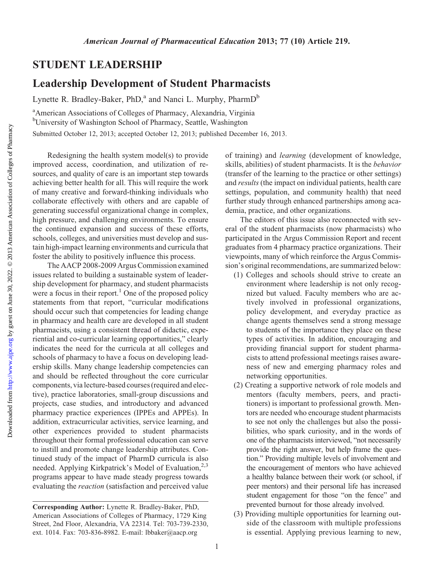## STUDENT LEADERSHIP

## Leadership Development of Student Pharmacists

Lynette R. Bradley-Baker, PhD,<sup>a</sup> and Nanci L. Murphy, PharmD<sup>b</sup>

<sup>a</sup> American Associations of Colleges of Pharmacy, Alexandria, Virginia <sup>b</sup>University of Washington School of Pharmacy, Seattle, Washington

Submitted October 12, 2013; accepted October 12, 2013; published December 16, 2013.

Redesigning the health system model(s) to provide improved access, coordination, and utilization of resources, and quality of care is an important step towards achieving better health for all. This will require the work of many creative and forward-thinking individuals who collaborate effectively with others and are capable of generating successful organizational change in complex, high pressure, and challenging environments. To ensure the continued expansion and success of these efforts, schools, colleges, and universities must develop and sustain high-impact learning environments and curricula that foster the ability to positively influence this process.

The AACP 2008-2009 Argus Commission examined issues related to building a sustainable system of leadership development for pharmacy, and student pharmacists were a focus in their report.<sup>1</sup> One of the proposed policy statements from that report, "curricular modifications should occur such that competencies for leading change in pharmacy and health care are developed in all student pharmacists, using a consistent thread of didactic, experiential and co-curricular learning opportunities," clearly indicates the need for the curricula at all colleges and schools of pharmacy to have a focus on developing leadership skills. Many change leadership competencies can and should be reflected throughout the core curricular components, via lecture-based courses (required and elective), practice laboratories, small-group discussions and projects, case studies, and introductory and advanced pharmacy practice experiences (IPPEs and APPEs). In addition, extracurricular activities, service learning, and other experiences provided to student pharmacists throughout their formal professional education can serve to instill and promote change leadership attributes. Continued study of the impact of PharmD curricula is also needed. Applying Kirkpatrick's Model of Evaluation,<sup>2,3</sup> programs appear to have made steady progress towards evaluating the reaction (satisfaction and perceived value of training) and learning (development of knowledge, skills, abilities) of student pharmacists. It is the behavior (transfer of the learning to the practice or other settings) and results (the impact on individual patients, health care settings, population, and community health) that need further study through enhanced partnerships among academia, practice, and other organizations.

The editors of this issue also reconnected with several of the student pharmacists (now pharmacists) who participated in the Argus Commission Report and recent graduates from 4 pharmacy practice organizations. Their viewpoints, many of which reinforce the Argus Commission's original recommendations, are summarized below:

- (1) Colleges and schools should strive to create an environment where leadership is not only recognized but valued. Faculty members who are actively involved in professional organizations, policy development, and everyday practice as change agents themselves send a strong message to students of the importance they place on these types of activities. In addition, encouraging and providing financial support for student pharmacists to attend professional meetings raises awareness of new and emerging pharmacy roles and networking opportunities.
- (2) Creating a supportive network of role models and mentors (faculty members, peers, and practitioners) is important to professional growth. Mentors are needed who encourage student pharmacists to see not only the challenges but also the possibilities, who spark curiosity, and in the words of one of the pharmacists interviewed, "not necessarily provide the right answer, but help frame the question." Providing multiple levels of involvement and the encouragement of mentors who have achieved a healthy balance between their work (or school, if peer mentors) and their personal life has increased student engagement for those "on the fence" and prevented burnout for those already involved.
- (3) Providing multiple opportunities for learning outside of the classroom with multiple professions is essential. Applying previous learning to new,

Corresponding Author: Lynette R. Bradley-Baker, PhD, American Associations of Colleges of Pharmacy, 1729 King Street, 2nd Floor, Alexandria, VA 22314. Tel: 703-739-2330, ext. 1014. Fax: 703-836-8982. E-mail: lbbaker@aacp.org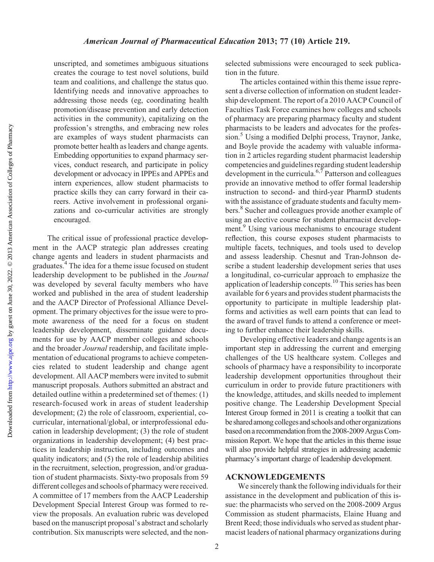Downloaded from

unscripted, and sometimes ambiguous situations creates the courage to test novel solutions, build team and coalitions, and challenge the status quo. Identifying needs and innovative approaches to addressing those needs (eg, coordinating health promotion/disease prevention and early detection activities in the community), capitalizing on the profession's strengths, and embracing new roles are examples of ways student pharmacists can promote better health as leaders and change agents. Embedding opportunities to expand pharmacy services, conduct research, and participate in policy development or advocacy in IPPEs and APPEs and intern experiences, allow student pharmacists to practice skills they can carry forward in their careers. Active involvement in professional organizations and co-curricular activities are strongly encouraged.

The critical issue of professional practice development in the AACP strategic plan addresses creating change agents and leaders in student pharmacists and graduates.4 The idea for a theme issue focused on student leadership development to be published in the Journal was developed by several faculty members who have worked and published in the area of student leadership and the AACP Director of Professional Alliance Development. The primary objectives for the issue were to promote awareness of the need for a focus on student leadership development, disseminate guidance documents for use by AACP member colleges and schools and the broader Journal readership, and facilitate implementation of educational programs to achieve competencies related to student leadership and change agent development. All AACP members were invited to submit manuscript proposals. Authors submitted an abstract and detailed outline within a predetermined set of themes: (1) research-focused work in areas of student leadership development; (2) the role of classroom, experiential, cocurricular, international/global, or interprofessional education in leadership development; (3) the role of student organizations in leadership development; (4) best practices in leadership instruction, including outcomes and quality indicators; and (5) the role of leadership abilities in the recruitment, selection, progression, and/or graduation of student pharmacists. Sixty-two proposals from 59 different colleges and schools of pharmacy were received. A committee of 17 members from the AACP Leadership Development Special Interest Group was formed to review the proposals. An evaluation rubric was developed based on the manuscript proposal's abstract and scholarly contribution. Six manuscripts were selected, and the nonselected submissions were encouraged to seek publication in the future.

The articles contained within this theme issue represent a diverse collection of information on student leadership development. The report of a 2010 AACP Council of Faculties Task Force examines how colleges and schools of pharmacy are preparing pharmacy faculty and student pharmacists to be leaders and advocates for the profession.<sup>5</sup> Using a modified Delphi process, Traynor, Janke, and Boyle provide the academy with valuable information in 2 articles regarding student pharmacist leadership competencies and guidelines regarding student leadership development in the curricula.<sup>6,7</sup> Patterson and colleagues provide an innovative method to offer formal leadership instruction to second- and third-year PharmD students with the assistance of graduate students and faculty members.<sup>8</sup> Sucher and colleagues provide another example of using an elective course for student pharmacist development.<sup>9</sup> Using various mechanisms to encourage student reflection, this course exposes student pharmacists to multiple facets, techniques, and tools used to develop and assess leadership. Chesnut and Tran-Johnson describe a student leadership development series that uses a longitudinal, co-curricular approach to emphasize the application of leadership concepts.<sup>10</sup> This series has been available for 6 years and provides student pharmacists the opportunity to participate in multiple leadership platforms and activities as well earn points that can lead to the award of travel funds to attend a conference or meeting to further enhance their leadership skills.

Developing effective leaders and change agents is an important step in addressing the current and emerging challenges of the US healthcare system. Colleges and schools of pharmacy have a responsibility to incorporate leadership development opportunities throughout their curriculum in order to provide future practitioners with the knowledge, attitudes, and skills needed to implement positive change. The Leadership Development Special Interest Group formed in 2011 is creating a toolkit that can be shared among colleges and schools and other organizations based on a recommendation from the 2008-2009 Argus Commission Report. We hope that the articles in this theme issue will also provide helpful strategies in addressing academic pharmacy's important charge of leadership development.

## ACKNOWLEDGEMENTS

We sincerely thank the following individuals for their assistance in the development and publication of this issue: the pharmacists who served on the 2008-2009 Argus Commission as student pharmacists, Elaine Huang and Brent Reed; those individuals who served as student pharmacist leaders of national pharmacy organizations during